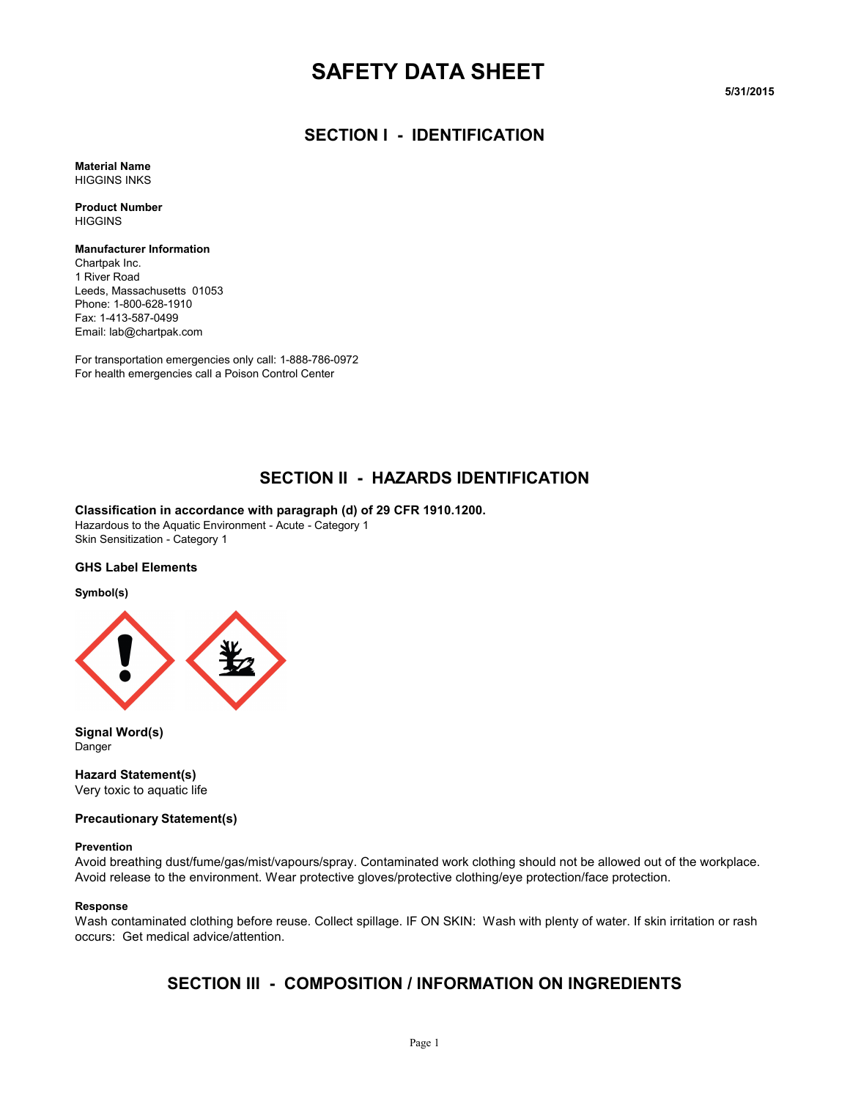# **SAFETY DATA SHEET**

**5/31/2015**

### **SECTION I - IDENTIFICATION**

**Material Name** HIGGINS INKS

**Product Number HIGGINS** 

**Manufacturer Information** Chartpak Inc. 1 River Road Leeds, Massachusetts 01053 Phone: 1-800-628-1910 Fax: 1-413-587-0499 Email: lab@chartpak.com

For transportation emergencies only call: 1-888-786-0972 For health emergencies call a Poison Control Center

### **SECTION II - HAZARDS IDENTIFICATION**

**Classification in accordance with paragraph (d) of 29 CFR 1910.1200.**

Hazardous to the Aquatic Environment - Acute - Category 1 Skin Sensitization - Category 1

#### **GHS Label Elements**

#### **Symbol(s)**



**Signal Word(s)** Danger

**Hazard Statement(s)** Very toxic to aquatic life

#### **Precautionary Statement(s)**

#### **Prevention**

Avoid breathing dust/fume/gas/mist/vapours/spray. Contaminated work clothing should not be allowed out of the workplace. Avoid release to the environment. Wear protective gloves/protective clothing/eye protection/face protection.

#### **Response**

Wash contaminated clothing before reuse. Collect spillage. IF ON SKIN: Wash with plenty of water. If skin irritation or rash occurs: Get medical advice/attention.

### **SECTION III - COMPOSITION / INFORMATION ON INGREDIENTS**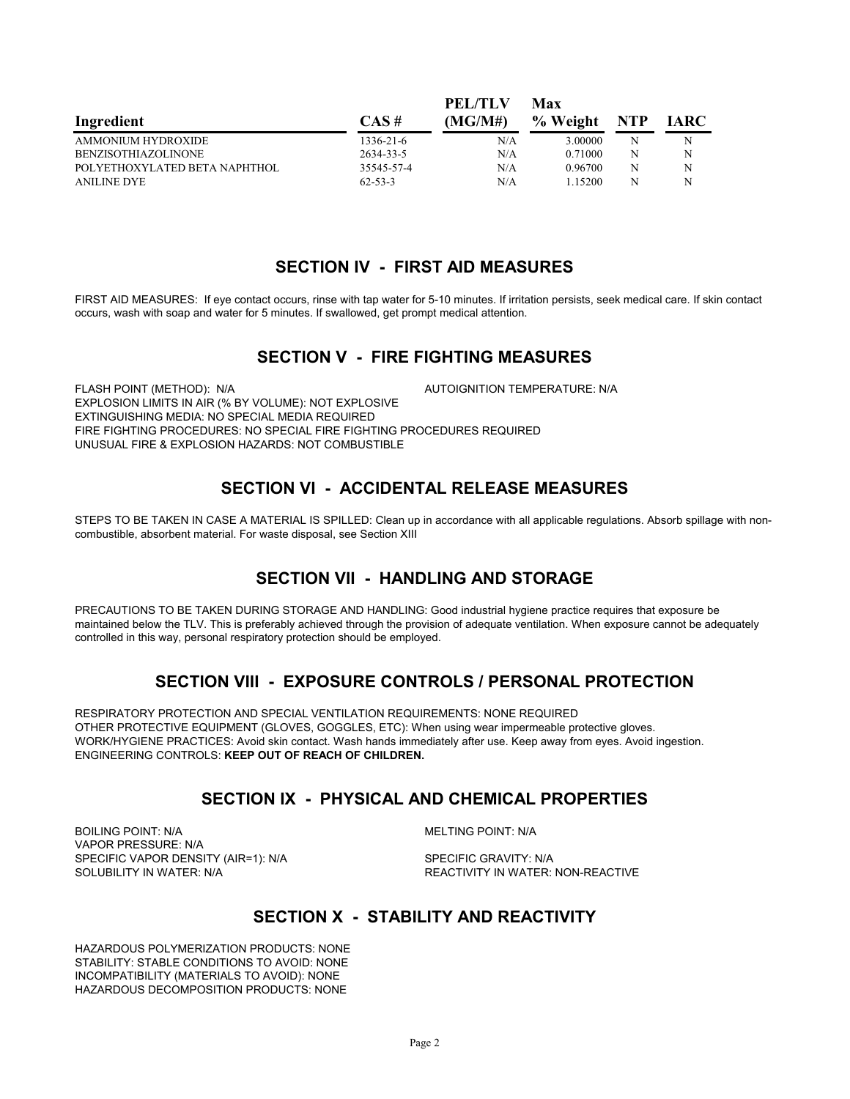| Ingredient                    |               | PEL/TLV | Max      |     |             |
|-------------------------------|---------------|---------|----------|-----|-------------|
|                               | $CAS \#$      | (MG/M#) | % Weight | NTP | <b>IARC</b> |
| <b>AMMONIUM HYDROXIDE</b>     | 1336-21-6     | N/A     | 3.00000  | N   | N           |
| BENZISOTHIAZOLINONE           | 2634-33-5     | N/A     | 0.71000  | N   | N           |
| POLYETHOXYLATED BETA NAPHTHOL | 35545-57-4    | N/A     | 0.96700  | N   | N           |
| <b>ANILINE DYE</b>            | $62 - 53 - 3$ | N/A     | 1 15200  | N   | N           |

#### **SECTION IV - FIRST AID MEASURES**

**PEL/TLV** 

FIRST AID MEASURES: If eye contact occurs, rinse with tap water for 5-10 minutes. If irritation persists, seek medical care. If skin contact occurs, wash with soap and water for 5 minutes. If swallowed, get prompt medical attention.

### **SECTION V - FIRE FIGHTING MEASURES**

FLASH POINT (METHOD): N/A  $\blacksquare$  AUTOIGNITION TEMPERATURE: N/A EXPLOSION LIMITS IN AIR (% BY VOLUME): NOT EXPLOSIVE EXTINGUISHING MEDIA: NO SPECIAL MEDIA REQUIRED FIRE FIGHTING PROCEDURES: NO SPECIAL FIRE FIGHTING PROCEDURES REQUIRED UNUSUAL FIRE & EXPLOSION HAZARDS: NOT COMBUSTIBLE

### **SECTION VI - ACCIDENTAL RELEASE MEASURES**

STEPS TO BE TAKEN IN CASE A MATERIAL IS SPILLED: Clean up in accordance with all applicable regulations. Absorb spillage with noncombustible, absorbent material. For waste disposal, see Section XIII

## **SECTION VII - HANDLING AND STORAGE**

PRECAUTIONS TO BE TAKEN DURING STORAGE AND HANDLING: Good industrial hygiene practice requires that exposure be maintained below the TLV. This is preferably achieved through the provision of adequate ventilation. When exposure cannot be adequately controlled in this way, personal respiratory protection should be employed.

### **SECTION VIII - EXPOSURE CONTROLS / PERSONAL PROTECTION**

RESPIRATORY PROTECTION AND SPECIAL VENTILATION REQUIREMENTS: NONE REQUIRED OTHER PROTECTIVE EQUIPMENT (GLOVES, GOGGLES, ETC): When using wear impermeable protective gloves. WORK/HYGIENE PRACTICES: Avoid skin contact. Wash hands immediately after use. Keep away from eyes. Avoid ingestion. ENGINEERING CONTROLS: **KEEP OUT OF REACH OF CHILDREN.**

### **SECTION IX - PHYSICAL AND CHEMICAL PROPERTIES**

BOILING POINT: N/A MELTING POINT: N/A VAPOR PRESSURE: N/A SPECIFIC VAPOR DENSITY (AIR=1): N/A SPECIFIC GRAVITY: N/A SOLUBILITY IN WATER:<br>SOLUBILITY IN WATER: N/A

REACTIVITY IN WATER: NON-REACTIVE

### **SECTION X - STABILITY AND REACTIVITY**

HAZARDOUS POLYMERIZATION PRODUCTS: NONE STABILITY: STABLE CONDITIONS TO AVOID: NONE INCOMPATIBILITY (MATERIALS TO AVOID): NONE HAZARDOUS DECOMPOSITION PRODUCTS: NONE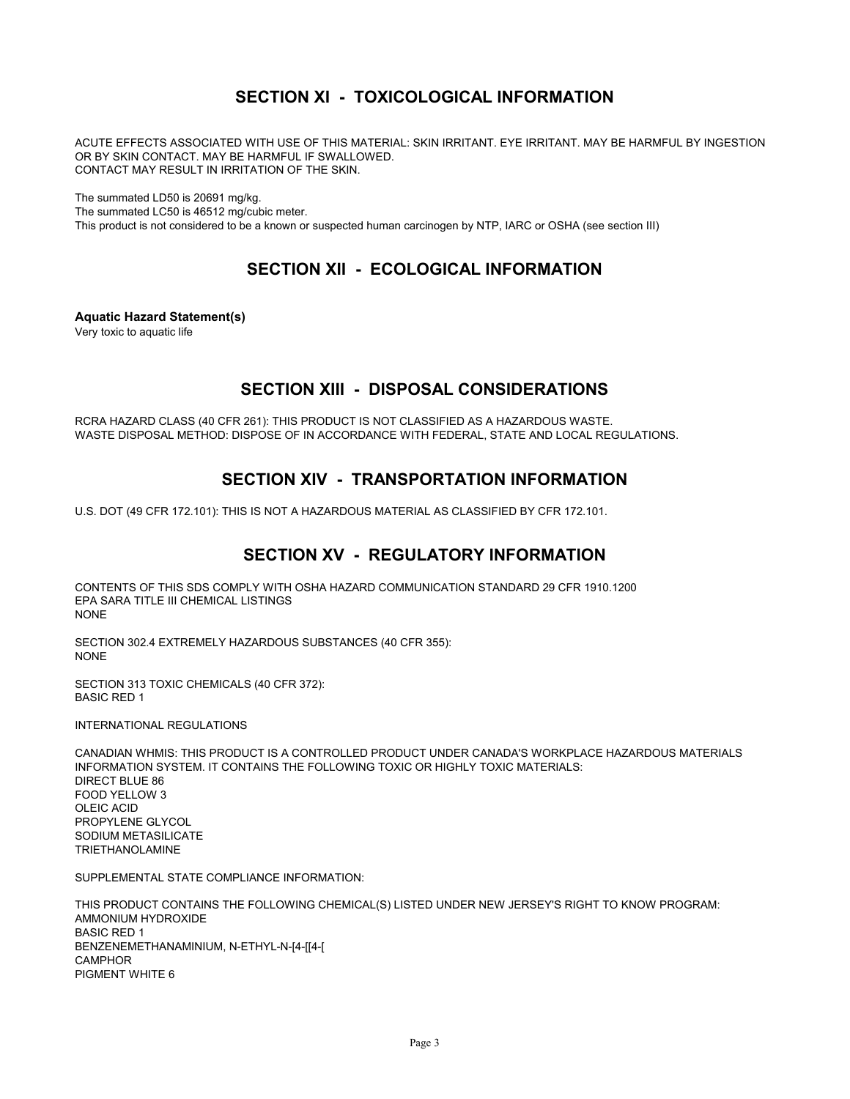## **SECTION XI - TOXICOLOGICAL INFORMATION**

ACUTE EFFECTS ASSOCIATED WITH USE OF THIS MATERIAL: SKIN IRRITANT. EYE IRRITANT. MAY BE HARMFUL BY INGESTION OR BY SKIN CONTACT. MAY BE HARMFUL IF SWALLOWED. CONTACT MAY RESULT IN IRRITATION OF THE SKIN.

The summated LD50 is 20691 mg/kg.

The summated LC50 is 46512 mg/cubic meter.

This product is not considered to be a known or suspected human carcinogen by NTP, IARC or OSHA (see section III)

### **SECTION XII - ECOLOGICAL INFORMATION**

**Aquatic Hazard Statement(s)**

Very toxic to aquatic life

### **SECTION XIII - DISPOSAL CONSIDERATIONS**

RCRA HAZARD CLASS (40 CFR 261): THIS PRODUCT IS NOT CLASSIFIED AS A HAZARDOUS WASTE. WASTE DISPOSAL METHOD: DISPOSE OF IN ACCORDANCE WITH FEDERAL, STATE AND LOCAL REGULATIONS.

### **SECTION XIV - TRANSPORTATION INFORMATION**

U.S. DOT (49 CFR 172.101): THIS IS NOT A HAZARDOUS MATERIAL AS CLASSIFIED BY CFR 172.101.

## **SECTION XV - REGULATORY INFORMATION**

CONTENTS OF THIS SDS COMPLY WITH OSHA HAZARD COMMUNICATION STANDARD 29 CFR 1910.1200 EPA SARA TITLE III CHEMICAL LISTINGS NONE

SECTION 302.4 EXTREMELY HAZARDOUS SUBSTANCES (40 CFR 355): NONE

SECTION 313 TOXIC CHEMICALS (40 CFR 372): BASIC RED 1

INTERNATIONAL REGULATIONS

CANADIAN WHMIS: THIS PRODUCT IS A CONTROLLED PRODUCT UNDER CANADA'S WORKPLACE HAZARDOUS MATERIALS INFORMATION SYSTEM. IT CONTAINS THE FOLLOWING TOXIC OR HIGHLY TOXIC MATERIALS: DIRECT BLUE 86 FOOD YELLOW 3 OLEIC ACID PROPYLENE GLYCOL SODIUM METASILICATE TRIETHANOLAMINE

SUPPLEMENTAL STATE COMPLIANCE INFORMATION:

THIS PRODUCT CONTAINS THE FOLLOWING CHEMICAL(S) LISTED UNDER NEW JERSEY'S RIGHT TO KNOW PROGRAM: AMMONIUM HYDROXIDE BASIC RED 1 BENZENEMETHANAMINIUM, N-ETHYL-N-[4-[[4-[ **CAMPHOR** PIGMENT WHITE 6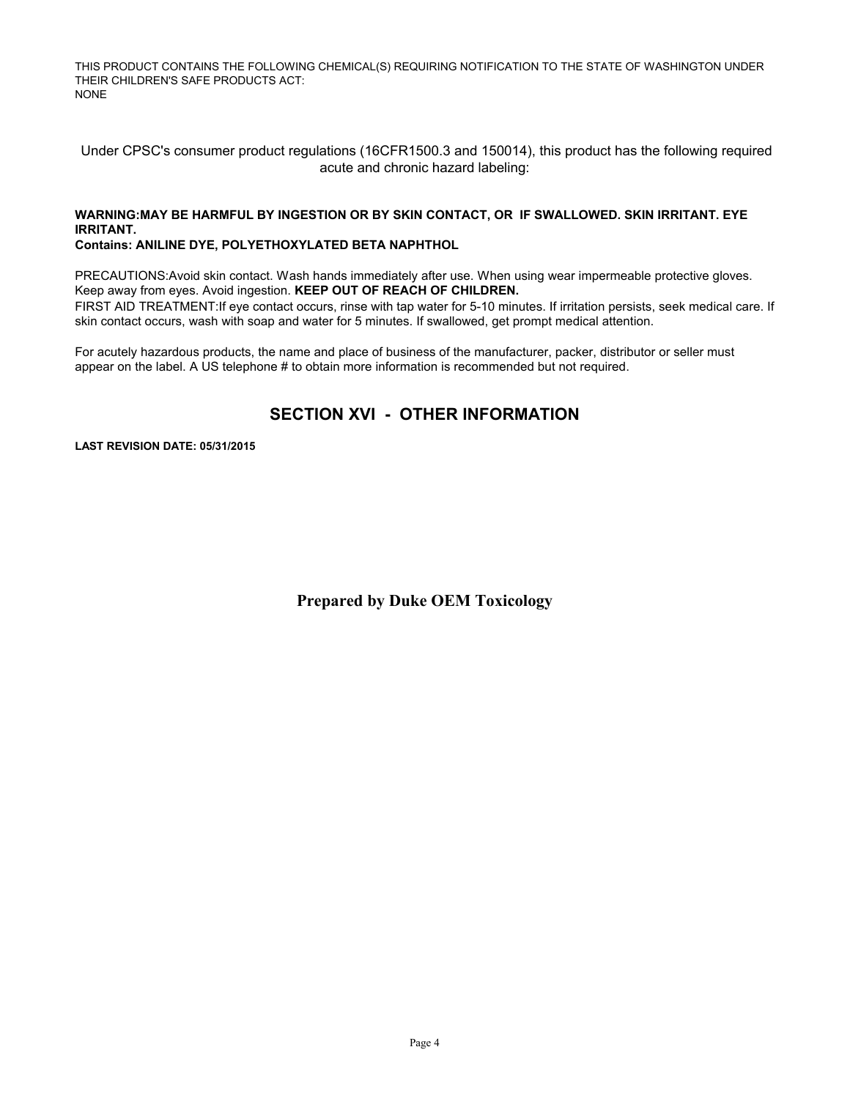THIS PRODUCT CONTAINS THE FOLLOWING CHEMICAL(S) REQUIRING NOTIFICATION TO THE STATE OF WASHINGTON UNDER THEIR CHILDREN'S SAFE PRODUCTS ACT: NONE

 Under CPSC's consumer product regulations (16CFR1500.3 and 150014), this product has the following required acute and chronic hazard labeling:

#### **WARNING:MAY BE HARMFUL BY INGESTION OR BY SKIN CONTACT, OR IF SWALLOWED. SKIN IRRITANT. EYE IRRITANT.**

**Contains: ANILINE DYE, POLYETHOXYLATED BETA NAPHTHOL**

PRECAUTIONS: Avoid skin contact. Wash hands immediately after use. When using wear impermeable protective gloves. Keep away from eyes. Avoid ingestion. **KEEP OUT OF REACH OF CHILDREN.**  FIRST AID TREATMENT:If eye contact occurs, rinse with tap water for 5-10 minutes. If irritation persists, seek medical care. If

skin contact occurs, wash with soap and water for 5 minutes. If swallowed, get prompt medical attention.

For acutely hazardous products, the name and place of business of the manufacturer, packer, distributor or seller must appear on the label. A US telephone # to obtain more information is recommended but not required.

## **SECTION XVI - OTHER INFORMATION**

**LAST REVISION DATE: 05/31/2015**

**Prepared by Duke OEM Toxicology**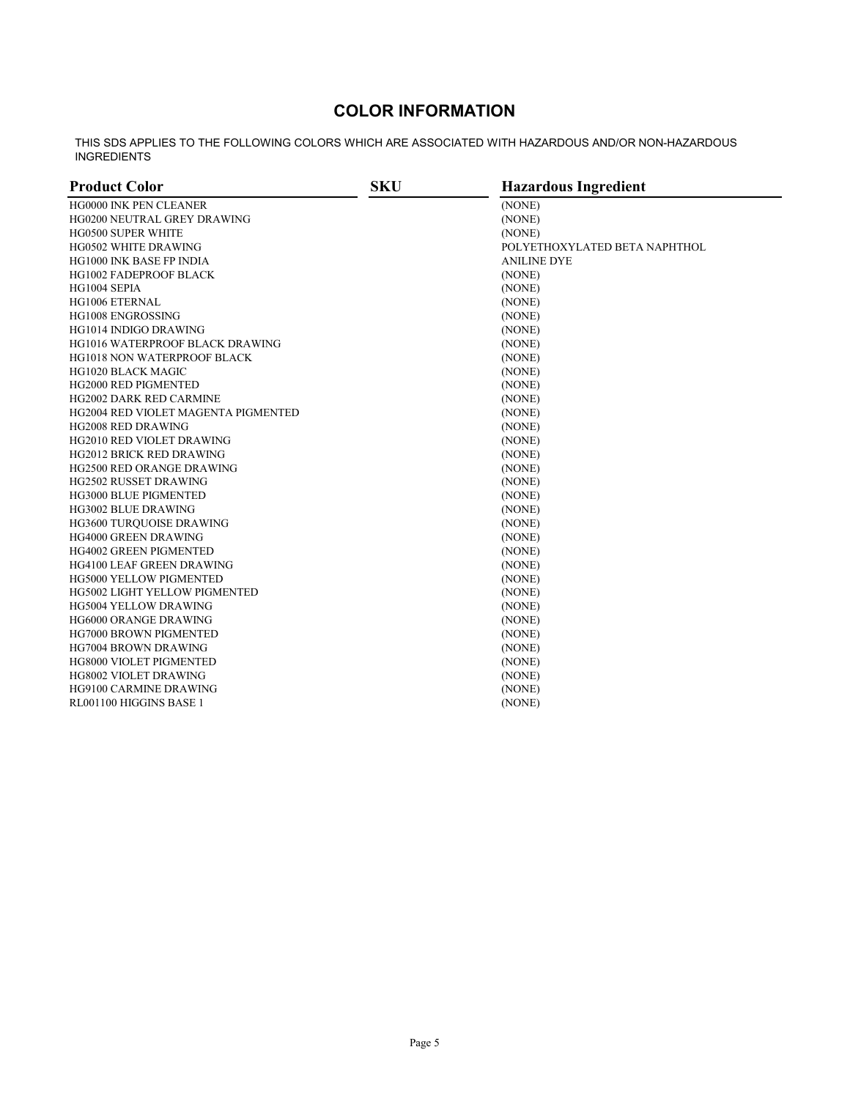## **COLOR INFORMATION**

THIS SDS APPLIES TO THE FOLLOWING COLORS WHICH ARE ASSOCIATED WITH HAZARDOUS AND/OR NON-HAZARDOUS INGREDIENTS

| <b>Product Color</b>                   | <b>SKU</b> | <b>Hazardous Ingredient</b>   |
|----------------------------------------|------------|-------------------------------|
| HG0000 INK PEN CLEANER                 |            | (NONE)                        |
| <b>HG0200 NEUTRAL GREY DRAWING</b>     |            | (NONE)                        |
| <b>HG0500 SUPER WHITE</b>              |            | (NONE)                        |
| HG0502 WHITE DRAWING                   |            | POLYETHOXYLATED BETA NAPHTHOL |
| <b>HG1000 INK BASE FP INDIA</b>        |            | <b>ANILINE DYE</b>            |
| <b>HG1002 FADEPROOF BLACK</b>          |            | (NONE)                        |
| HG1004 SEPIA                           |            | (NONE)                        |
| <b>HG1006 ETERNAL</b>                  |            | (NONE)                        |
| HG1008 ENGROSSING                      |            | (NONE)                        |
| HG1014 INDIGO DRAWING                  |            | (NONE)                        |
| <b>HG1016 WATERPROOF BLACK DRAWING</b> |            | (NONE)                        |
| HG1018 NON WATERPROOF BLACK            |            | (NONE)                        |
| HG1020 BLACK MAGIC                     |            | (NONE)                        |
| HG2000 RED PIGMENTED                   |            | (NONE)                        |
| HG2002 DARK RED CARMINE                |            | (NONE)                        |
| HG2004 RED VIOLET MAGENTA PIGMENTED    |            | (NONE)                        |
| <b>HG2008 RED DRAWING</b>              |            | (NONE)                        |
| <b>HG2010 RED VIOLET DRAWING</b>       |            | (NONE)                        |
| <b>HG2012 BRICK RED DRAWING</b>        |            | (NONE)                        |
| HG2500 RED ORANGE DRAWING              |            | (NONE)                        |
| HG2502 RUSSET DRAWING                  |            | (NONE)                        |
| <b>HG3000 BLUE PIGMENTED</b>           |            | (NONE)                        |
| <b>HG3002 BLUE DRAWING</b>             |            | (NONE)                        |
| <b>HG3600 TURQUOISE DRAWING</b>        |            | (NONE)                        |
| HG4000 GREEN DRAWING                   |            | (NONE)                        |
| HG4002 GREEN PIGMENTED                 |            | (NONE)                        |
| HG4100 LEAF GREEN DRAWING              |            | (NONE)                        |
| <b>HG5000 YELLOW PIGMENTED</b>         |            | (NONE)                        |
| <b>HG5002 LIGHT YELLOW PIGMENTED</b>   |            | (NONE)                        |
| <b>HG5004 YELLOW DRAWING</b>           |            | (NONE)                        |
| <b>HG6000 ORANGE DRAWING</b>           |            | (NONE)                        |
| HG7000 BROWN PIGMENTED                 |            | (NONE)                        |
| HG7004 BROWN DRAWING                   |            | (NONE)                        |
| <b>HG8000 VIOLET PIGMENTED</b>         |            | (NONE)                        |
| <b>HG8002 VIOLET DRAWING</b>           |            | (NONE)                        |
| <b>HG9100 CARMINE DRAWING</b>          |            | (NONE)                        |
| RL001100 HIGGINS BASE 1                |            | (NONE)                        |